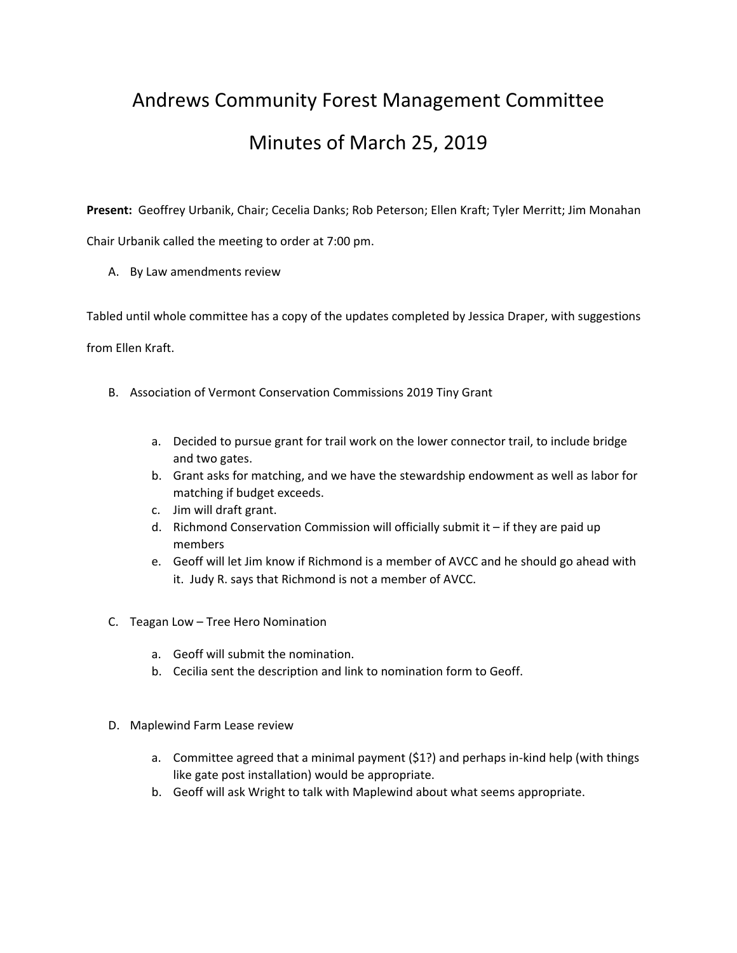## Andrews Community Forest Management Committee Minutes of March 25, 2019

**Present:** Geoffrey Urbanik, Chair; Cecelia Danks; Rob Peterson; Ellen Kraft; Tyler Merritt; Jim Monahan Chair Urbanik called the meeting to order at 7:00 pm.

A. By Law amendments review

Tabled until whole committee has a copy of the updates completed by Jessica Draper, with suggestions

from Ellen Kraft.

- B. Association of Vermont Conservation Commissions 2019 Tiny Grant
	- a. Decided to pursue grant for trail work on the lower connector trail, to include bridge and two gates.
	- b. Grant asks for matching, and we have the stewardship endowment as well as labor for matching if budget exceeds.
	- c. Jim will draft grant.
	- d. Richmond Conservation Commission will officially submit it if they are paid up members
	- e. Geoff will let Jim know if Richmond is a member of AVCC and he should go ahead with it. Judy R. says that Richmond is not a member of AVCC.
- C. Teagan Low Tree Hero Nomination
	- a. Geoff will submit the nomination.
	- b. Cecilia sent the description and link to nomination form to Geoff.
- D. Maplewind Farm Lease review
	- a. Committee agreed that a minimal payment (\$1?) and perhaps in‐kind help (with things like gate post installation) would be appropriate.
	- b. Geoff will ask Wright to talk with Maplewind about what seems appropriate.